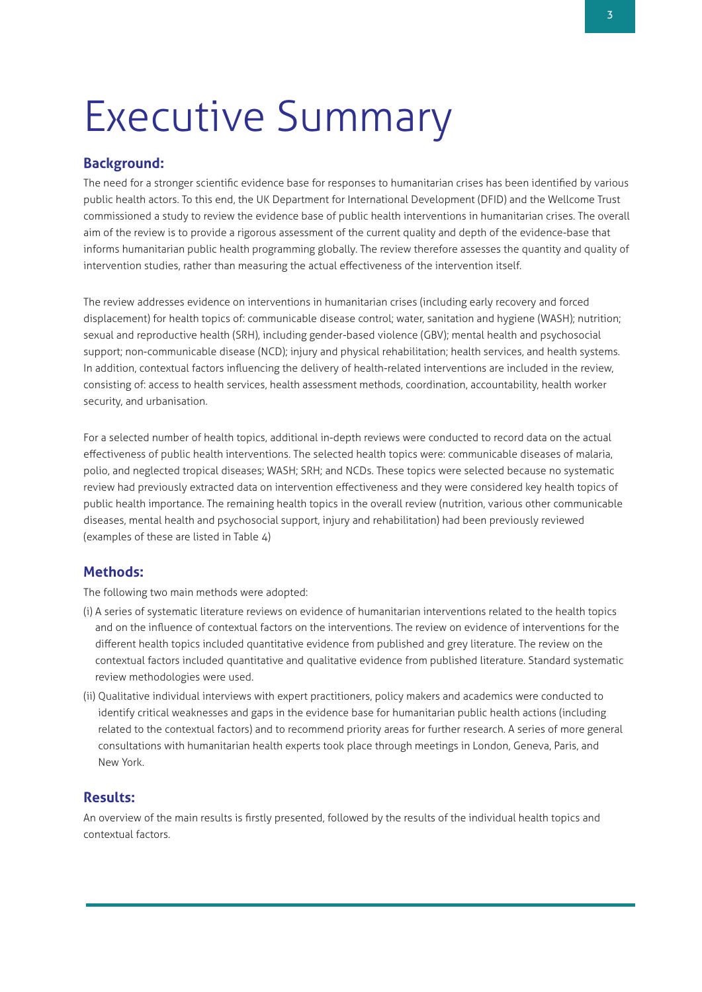# Executive Summary

## **Background:**

The need for a stronger scientific evidence base for responses to humanitarian crises has been identified by various public health actors. To this end, the UK Department for International Development (DFID) and the Wellcome Trust commissioned a study to review the evidence base of public health interventions in humanitarian crises. The overall aim of the review is to provide a rigorous assessment of the current quality and depth of the evidence-base that informs humanitarian public health programming globally. The review therefore assesses the quantity and quality of intervention studies, rather than measuring the actual effectiveness of the intervention itself.

The review addresses evidence on interventions in humanitarian crises (including early recovery and forced displacement) for health topics of: communicable disease control; water, sanitation and hygiene (WASH); nutrition; sexual and reproductive health (SRH), including gender-based violence (GBV); mental health and psychosocial support; non-communicable disease (NCD); injury and physical rehabilitation; health services, and health systems. In addition, contextual factors influencing the delivery of health-related interventions are included in the review, consisting of: access to health services, health assessment methods, coordination, accountability, health worker security, and urbanisation.

For a selected number of health topics, additional in-depth reviews were conducted to record data on the actual effectiveness of public health interventions. The selected health topics were: communicable diseases of malaria, polio, and neglected tropical diseases; WASH; SRH; and NCDs. These topics were selected because no systematic review had previously extracted data on intervention effectiveness and they were considered key health topics of public health importance. The remaining health topics in the overall review (nutrition, various other communicable diseases, mental health and psychosocial support, injury and rehabilitation) had been previously reviewed (examples of these are listed in Table 4)

## **Methods:**

The following two main methods were adopted:

- (i) A series of systematic literature reviews on evidence of humanitarian interventions related to the health topics and on the influence of contextual factors on the interventions. The review on evidence of interventions for the different health topics included quantitative evidence from published and grey literature. The review on the contextual factors included quantitative and qualitative evidence from published literature. Standard systematic review methodologies were used.
- (ii) Qualitative individual interviews with expert practitioners, policy makers and academics were conducted to identify critical weaknesses and gaps in the evidence base for humanitarian public health actions (including related to the contextual factors) and to recommend priority areas for further research. A series of more general consultations with humanitarian health experts took place through meetings in London, Geneva, Paris, and New York.

# **Results:**

An overview of the main results is firstly presented, followed by the results of the individual health topics and contextual factors.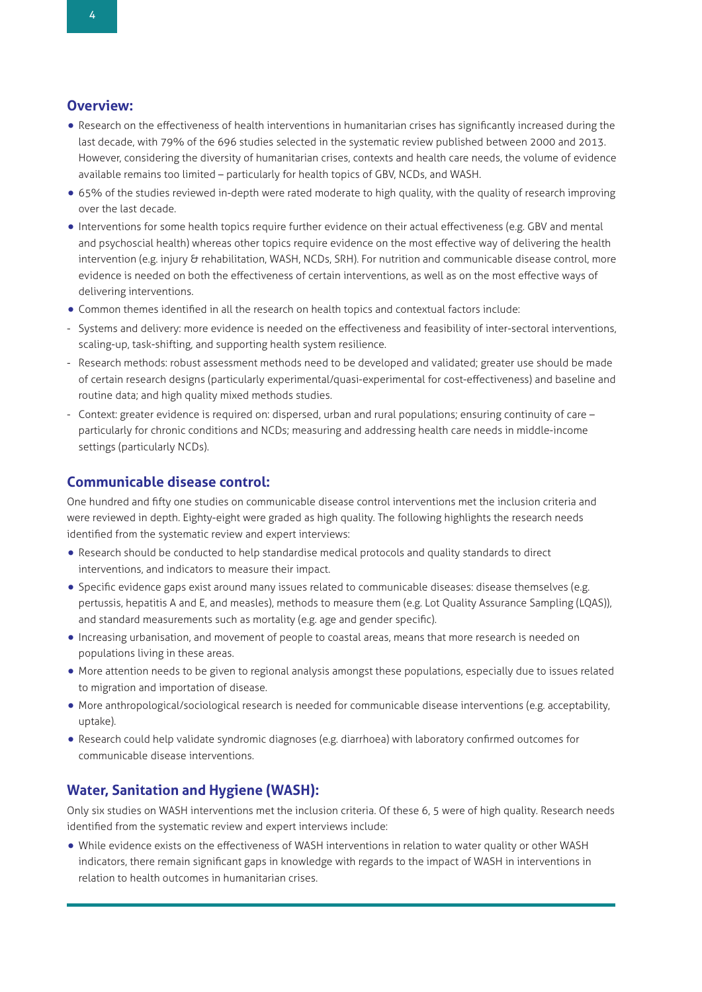# **Overview:**

- Research on the effectiveness of health interventions in humanitarian crises has significantly increased during the last decade, with 79% of the 696 studies selected in the systematic review published between 2000 and 2013. However, considering the diversity of humanitarian crises, contexts and health care needs, the volume of evidence available remains too limited – particularly for health topics of GBV, NCDs, and WASH.
- 65% of the studies reviewed in-depth were rated moderate to high quality, with the quality of research improving over the last decade.
- •Interventions for some health topics require further evidence on their actual effectiveness (e.g. GBV and mental and psychoscial health) whereas other topics require evidence on the most effective way of delivering the health intervention (e.g. injury & rehabilitation, WASH, NCDs, SRH). For nutrition and communicable disease control, more evidence is needed on both the effectiveness of certain interventions, as well as on the most effective ways of delivering interventions.
- Common themes identified in all the research on health topics and contextual factors include:
- Systems and delivery: more evidence is needed on the effectiveness and feasibility of inter-sectoral interventions, scaling-up, task-shifting, and supporting health system resilience.
- Research methods: robust assessment methods need to be developed and validated; greater use should be made of certain research designs (particularly experimental/quasi-experimental for cost-effectiveness) and baseline and routine data; and high quality mixed methods studies.
- Context: greater evidence is required on: dispersed, urban and rural populations; ensuring continuity of care particularly for chronic conditions and NCDs; measuring and addressing health care needs in middle-income settings (particularly NCDs).

#### **Communicable disease control:**

One hundred and fifty one studies on communicable disease control interventions met the inclusion criteria and were reviewed in depth. Eighty-eight were graded as high quality. The following highlights the research needs identified from the systematic review and expert interviews:

- Research should be conducted to help standardise medical protocols and quality standards to direct interventions, and indicators to measure their impact.
- Specific evidence gaps exist around many issues related to communicable diseases: disease themselves (e.g. pertussis, hepatitis A and E, and measles), methods to measure them (e.g. Lot Quality Assurance Sampling (LQAS)), and standard measurements such as mortality (e.g. age and gender specific).
- •Increasing urbanisation, and movement of people to coastal areas, means that more research is needed on populations living in these areas.
- More attention needs to be given to regional analysis amongst these populations, especially due to issues related to migration and importation of disease.
- More anthropological/sociological research is needed for communicable disease interventions (e.g. acceptability, uptake).
- Research could help validate syndromic diagnoses (e.g. diarrhoea) with laboratory confirmed outcomes for communicable disease interventions.

## **Water, Sanitation and Hygiene (WASH):**

Only six studies on WASH interventions met the inclusion criteria. Of these 6, 5 were of high quality. Research needs identified from the systematic review and expert interviews include:

• While evidence exists on the effectiveness of WASH interventions in relation to water quality or other WASH indicators, there remain significant gaps in knowledge with regards to the impact of WASH in interventions in relation to health outcomes in humanitarian crises.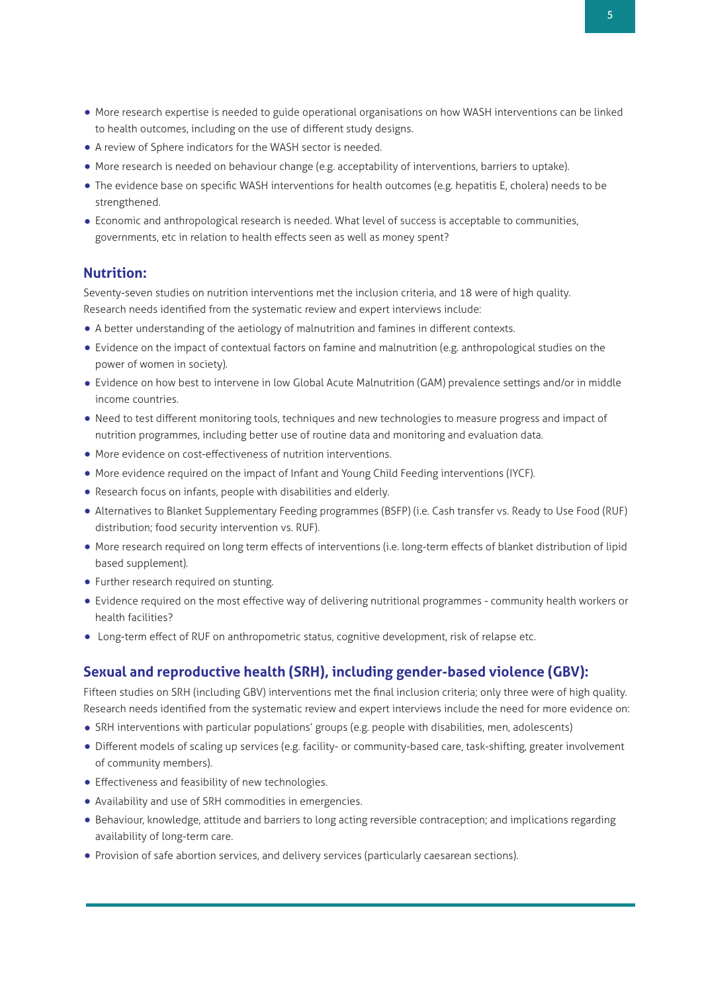- More research expertise is needed to guide operational organisations on how WASH interventions can be linked to health outcomes, including on the use of different study designs.
- <sup>A</sup> review of Sphere indicators for the WASH sector is needed.
- More research is needed on behaviour change (e.g. acceptability of interventions, barriers to uptake).
- The evidence base on specific WASH interventions for health outcomes (e.g. hepatitis E, cholera) needs to be strengthened.
- Economic and anthropological research is needed. What level of success is acceptable to communities, governments, etc in relation to health effects seen as well as money spent?

## **Nutrition:**

Seventy-seven studies on nutrition interventions met the inclusion criteria, and 18 were of high quality. Research needs identified from the systematic review and expert interviews include:

- <sup>A</sup> better understanding of the aetiology of malnutrition and famines in different contexts.
- Evidence on the impact of contextual factors on famine and malnutrition (e.g. anthropological studies on the power of women in society).
- Evidence on how best to intervene in low Global Acute Malnutrition (GAM) prevalence settings and/or in middle income countries.
- Need to test different monitoring tools, techniques and new technologies to measure progress and impact of nutrition programmes, including better use of routine data and monitoring and evaluation data.
- More evidence on cost-effectiveness of nutrition interventions.
- More evidence required on the impact of Infant and Young Child Feeding interventions (IYCF).
- Research focus on infants, people with disabilities and elderly.
- Alternatives to Blanket Supplementary Feeding programmes (BSFP) (i.e. Cash transfer vs. Ready to Use Food (RUF) distribution; food security intervention vs. RUF).
- More research required on long term effects of interventions (i.e. long-term effects of blanket distribution of lipid based supplement).
- Further research required on stunting.
- Evidence required on the most effective way of delivering nutritional programmes community health workers or health facilities?
- Long-term effect of RUF on anthropometric status, cognitive development, risk of relapse etc.

## **Sexual and reproductive health (SRH), including gender-based violence (GBV):**

Fifteen studies on SRH (including GBV) interventions met the final inclusion criteria; only three were of high quality. Research needs identified from the systematic review and expert interviews include the need for more evidence on:

- SRH interventions with particular populations' groups (e.g. people with disabilities, men, adolescents)
- Different models of scaling up services (e.g. facility- or community-based care, task-shifting, greater involvement of community members).
- Effectiveness and feasibility of new technologies.
- Availability and use of SRH commodities in emergencies.
- Behaviour, knowledge, attitude and barriers to long acting reversible contraception; and implications regarding availability of long-term care.
- Provision of safe abortion services, and delivery services (particularly caesarean sections).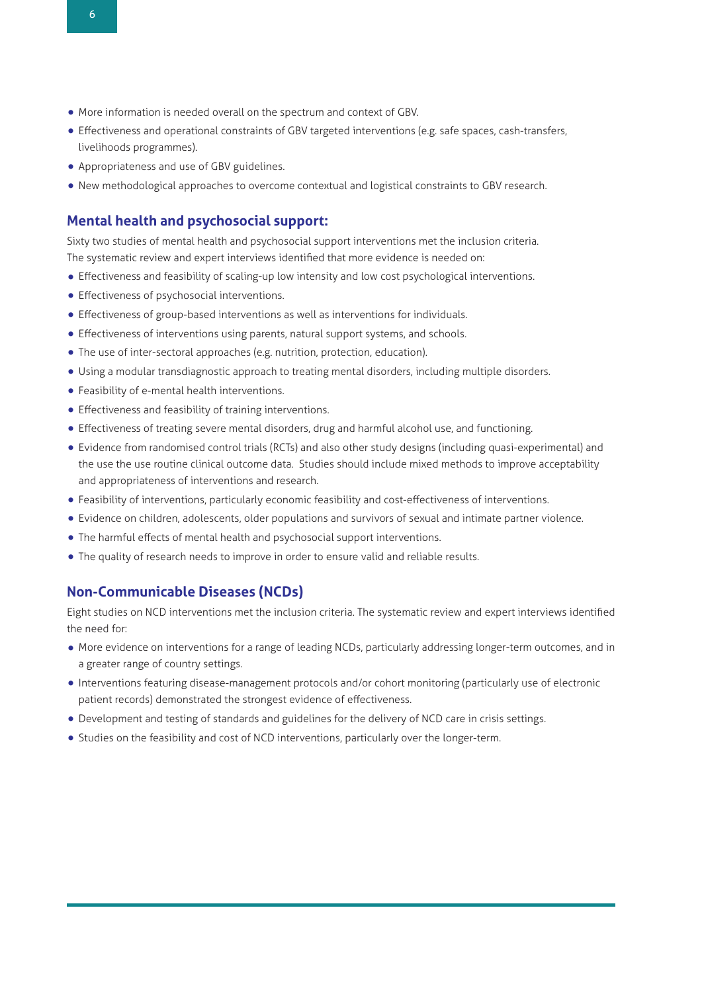- More information is needed overall on the spectrum and context of GBV.
- Effectiveness and operational constraints of GBV targeted interventions (e.g. safe spaces, cash-transfers, livelihoods programmes).
- Appropriateness and use of GBV guidelines.
- New methodological approaches to overcome contextual and logistical constraints to GBV research.

## **Mental health and psychosocial support:**

Sixty two studies of mental health and psychosocial support interventions met the inclusion criteria. The systematic review and expert interviews identified that more evidence is needed on:

- Effectiveness and feasibility of scaling-up low intensity and low cost psychological interventions.
- Effectiveness of psychosocial interventions.
- Effectiveness of group-based interventions as well as interventions for individuals.
- Effectiveness of interventions using parents, natural support systems, and schools.
- The use of inter-sectoral approaches (e.g. nutrition, protection, education).
- Using <sup>a</sup> modular transdiagnostic approach to treating mental disorders, including multiple disorders.
- Feasibility of e-mental health interventions.
- Effectiveness and feasibility of training interventions.
- Effectiveness of treating severe mental disorders, drug and harmful alcohol use, and functioning.
- Evidence from randomised control trials (RCTs) and also other study designs (including quasi-experimental) and the use the use routine clinical outcome data. Studies should include mixed methods to improve acceptability and appropriateness of interventions and research.
- Feasibility of interventions, particularly economic feasibility and cost-effectiveness of interventions.
- Evidence on children, adolescents, older populations and survivors of sexual and intimate partner violence.
- The harmful effects of mental health and psychosocial support interventions.
- The quality of research needs to improve in order to ensure valid and reliable results.

#### **Non-Communicable Diseases (NCDs)**

Eight studies on NCD interventions met the inclusion criteria. The systematic review and expert interviews identified the need for:

- More evidence on interventions for <sup>a</sup> range of leading NCDs, particularly addressing longer-term outcomes, and in a greater range of country settings.
- •Interventions featuring disease-management protocols and/or cohort monitoring (particularly use of electronic patient records) demonstrated the strongest evidence of effectiveness.
- Development and testing of standards and guidelines for the delivery of NCD care in crisis settings.
- Studies on the feasibility and cost of NCD interventions, particularly over the longer-term.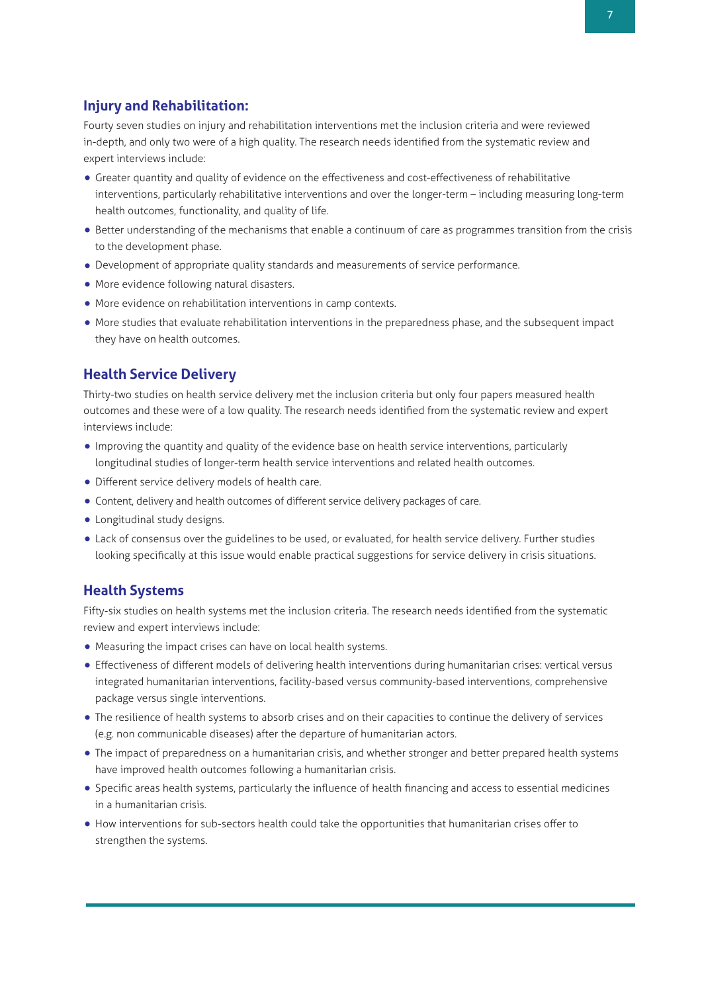# **Injury and Rehabilitation:**

Fourty seven studies on injury and rehabilitation interventions met the inclusion criteria and were reviewed in-depth, and only two were of a high quality. The research needs identified from the systematic review and expert interviews include:

- Greater quantity and quality of evidence on the effectiveness and cost-effectiveness of rehabilitative interventions, particularly rehabilitative interventions and over the longer-term – including measuring long-term health outcomes, functionality, and quality of life.
- Better understanding of the mechanisms that enable <sup>a</sup> continuum of care as programmes transition from the crisis to the development phase.
- Development of appropriate quality standards and measurements of service performance.
- More evidence following natural disasters.
- More evidence on rehabilitation interventions in camp contexts.
- More studies that evaluate rehabilitation interventions in the preparedness phase, and the subsequent impact they have on health outcomes.

## **Health Service Delivery**

Thirty-two studies on health service delivery met the inclusion criteria but only four papers measured health outcomes and these were of a low quality. The research needs identified from the systematic review and expert interviews include:

- •Improving the quantity and quality of the evidence base on health service interventions, particularly longitudinal studies of longer-term health service interventions and related health outcomes.
- Different service delivery models of health care.
- Content, delivery and health outcomes of different service delivery packages of care.
- Longitudinal study designs.
- Lack of consensus over the guidelines to be used, or evaluated, for health service delivery. Further studies looking specifically at this issue would enable practical suggestions for service delivery in crisis situations.

## **Health Systems**

Fifty-six studies on health systems met the inclusion criteria. The research needs identified from the systematic review and expert interviews include:

- Measuring the impact crises can have on local health systems.
- Effectiveness of different models of delivering health interventions during humanitarian crises: vertical versus integrated humanitarian interventions, facility-based versus community-based interventions, comprehensive package versus single interventions.
- The resilience of health systems to absorb crises and on their capacities to continue the delivery of services (e.g. non communicable diseases) after the departure of humanitarian actors.
- The impact of preparedness on <sup>a</sup> humanitarian crisis, and whether stronger and better prepared health systems have improved health outcomes following a humanitarian crisis.
- Specific areas health systems, particularly the influence of health financing and access to essential medicines in a humanitarian crisis.
- How interventions for sub-sectors health could take the opportunities that humanitarian crises offer to strengthen the systems.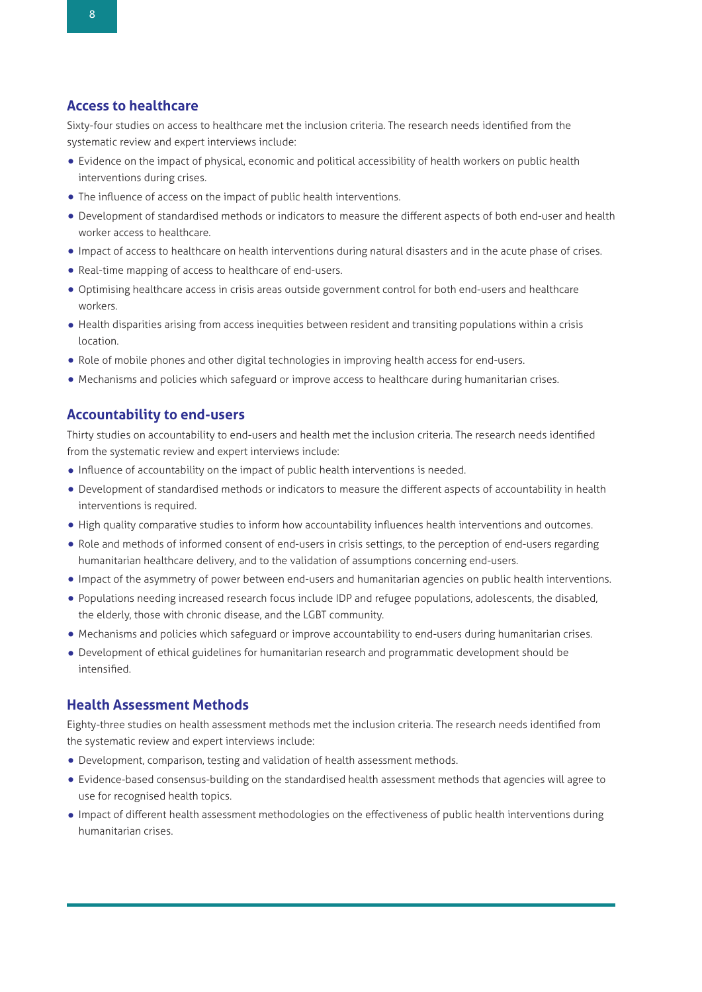#### **Access to healthcare**

Sixty-four studies on access to healthcare met the inclusion criteria. The research needs identified from the systematic review and expert interviews include:

- Evidence on the impact of physical, economic and political accessibility of health workers on public health interventions during crises.
- The influence of access on the impact of public health interventions.
- Development of standardised methods or indicators to measure the different aspects of both end-user and health worker access to healthcare.
- •Impact of access to healthcare on health interventions during natural disasters and in the acute phase of crises.
- Real-time mapping of access to healthcare of end-users.
- Optimising healthcare access in crisis areas outside government control for both end-users and healthcare workers.
- Health disparities arising from access inequities between resident and transiting populations within <sup>a</sup> crisis location.
- Role of mobile phones and other digital technologies in improving health access for end-users.
- Mechanisms and policies which safeguard or improve access to healthcare during humanitarian crises.

#### **Accountability to end-users**

Thirty studies on accountability to end-users and health met the inclusion criteria. The research needs identified from the systematic review and expert interviews include:

- •Influence of accountability on the impact of public health interventions is needed.
- Development of standardised methods or indicators to measure the different aspects of accountability in health interventions is required.
- High quality comparative studies to inform how accountability influences health interventions and outcomes.
- Role and methods of informed consent of end-users in crisis settings, to the perception of end-users regarding humanitarian healthcare delivery, and to the validation of assumptions concerning end-users.
- •Impact of the asymmetry of power between end-users and humanitarian agencies on public health interventions.
- Populations needing increased research focus include IDP and refugee populations, adolescents, the disabled, the elderly, those with chronic disease, and the LGBT community.
- Mechanisms and policies which safeguard or improve accountability to end-users during humanitarian crises.
- Development of ethical guidelines for humanitarian research and programmatic development should be intensified.

## **Health Assessment Methods**

Eighty-three studies on health assessment methods met the inclusion criteria. The research needs identified from the systematic review and expert interviews include:

- Development, comparison, testing and validation of health assessment methods.
- Evidence-based consensus-building on the standardised health assessment methods that agencies will agree to use for recognised health topics.
- •Impact of different health assessment methodologies on the effectiveness of public health interventions during humanitarian crises.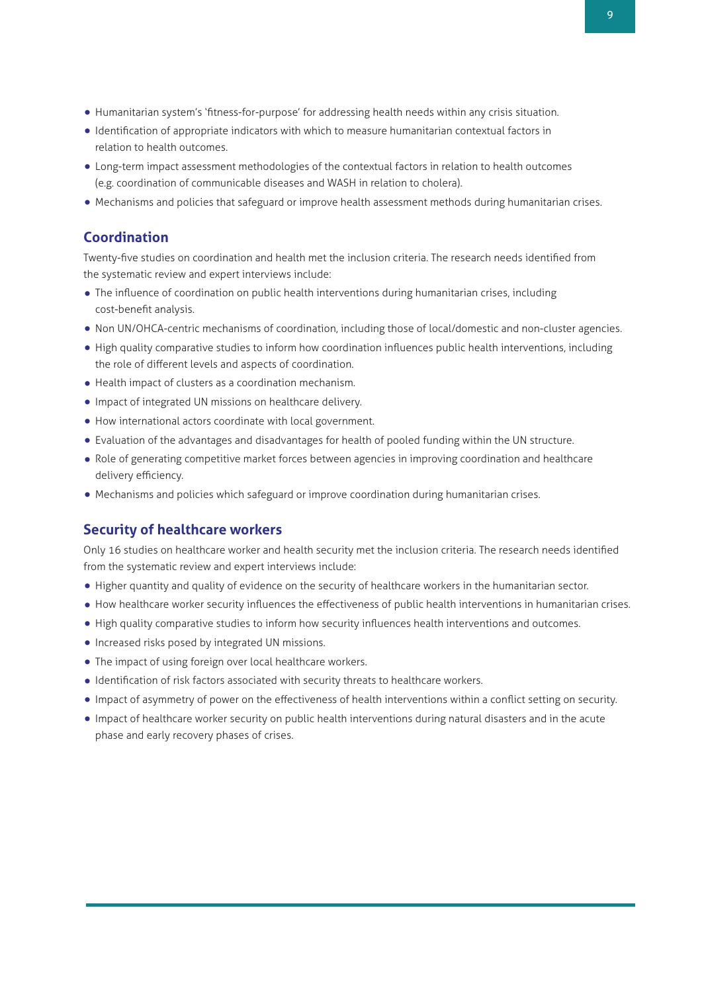- Humanitarian system's 'fitness-for-purpose' for addressing health needs within any crisis situation.
- •Identification of appropriate indicators with which to measure humanitarian contextual factors in relation to health outcomes.
- Long-term impact assessment methodologies of the contextual factors in relation to health outcomes (e.g. coordination of communicable diseases and WASH in relation to cholera).
- Mechanisms and policies that safeguard or improve health assessment methods during humanitarian crises.

## **Coordination**

Twenty-five studies on coordination and health met the inclusion criteria. The research needs identified from the systematic review and expert interviews include:

- The influence of coordination on public health interventions during humanitarian crises, including cost-benefit analysis.
- Non UN/OHCA-centric mechanisms of coordination, including those of local/domestic and non-cluster agencies.
- High quality comparative studies to inform how coordination influences public health interventions, including the role of different levels and aspects of coordination.
- Health impact of clusters as <sup>a</sup> coordination mechanism.
- •Impact of integrated UN missions on healthcare delivery.
- How international actors coordinate with local government.
- Evaluation of the advantages and disadvantages for health of pooled funding within the UN structure.
- Role of generating competitive market forces between agencies in improving coordination and healthcare delivery efficiency.
- Mechanisms and policies which safeguard or improve coordination during humanitarian crises.

#### **Security of healthcare workers**

Only 16 studies on healthcare worker and health security met the inclusion criteria. The research needs identified from the systematic review and expert interviews include:

- Higher quantity and quality of evidence on the security of healthcare workers in the humanitarian sector.
- How healthcare worker security influences the effectiveness of public health interventions in humanitarian crises.
- High quality comparative studies to inform how security influences health interventions and outcomes.
- •Increased risks posed by integrated UN missions.
- The impact of using foreign over local healthcare workers.
- •Identification of risk factors associated with security threats to healthcare workers.
- •Impact of asymmetry of power on the effectiveness of health interventions within <sup>a</sup> conflict setting on security.
- •Impact of healthcare worker security on public health interventions during natural disasters and in the acute phase and early recovery phases of crises.